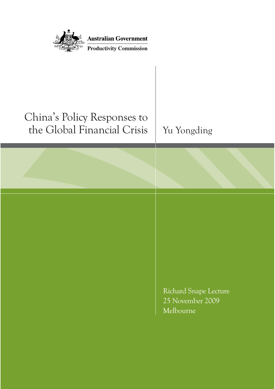| <b>Australian Government</b><br><b>Productivity Commission</b> |                                                        |
|----------------------------------------------------------------|--------------------------------------------------------|
|                                                                |                                                        |
| China's Policy Responses to<br>the Global Financial Crisis     | Yu Yongding                                            |
|                                                                |                                                        |
|                                                                |                                                        |
|                                                                |                                                        |
|                                                                | Richard Snape Lecture<br>25 November 2009<br>Melbourne |
|                                                                |                                                        |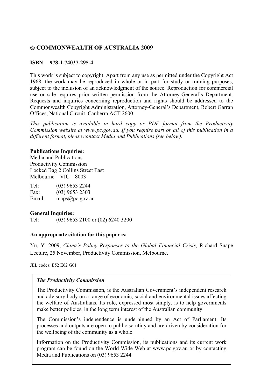### © **COMMONWEALTH OF AUSTRALIA 2009**

### **ISBN 978-1-74037-295-4**

This work is subject to copyright. Apart from any use as permitted under the Copyright Act 1968, the work may be reproduced in whole or in part for study or training purposes, subject to the inclusion of an acknowledgment of the source. Reproduction for commercial use or sale requires prior written permission from the Attorney-General's Department. Requests and inquiries concerning reproduction and rights should be addressed to the Commonwealth Copyright Administration, Attorney-General's Department, Robert Garran Offices, National Circuit, Canberra ACT 2600.

*This publication is available in hard copy or PDF format from the Productivity Commission website at www.pc.gov.au. If you require part or all of this publication in a different format, please contact Media and Publications (see below).* 

### **Publications Inquiries:**

Media and Publications Productivity Commission Locked Bag 2 Collins Street East Melbourne VIC 8003

Tel: (03) 9653 2244 Fax: (03) 9653 2303 Email: maps@pc.gov.au

### **General Inquiries:**

Tel: (03) 9653 2100 or (02) 6240 3200

### **An appropriate citation for this paper is:**

Yu, Y. 2009, *China's Policy Responses to the Global Financial Crisis*, Richard Snape Lecture, 25 November, Productivity Commission, Melbourne.

JEL codes: E52 E62 G01

### *The Productivity Commission*

The Productivity Commission, is the Australian Government's independent research and advisory body on a range of economic, social and environmental issues affecting the welfare of Australians. Its role, expressed most simply, is to help governments make better policies, in the long term interest of the Australian community.

The Commission's independence is underpinned by an Act of Parliament. Its processes and outputs are open to public scrutiny and are driven by consideration for the wellbeing of the community as a whole.

Information on the Productivity Commission, its publications and its current work program can be found on the World Wide Web at www.pc.gov.au or by contacting Media and Publications on (03) 9653 2244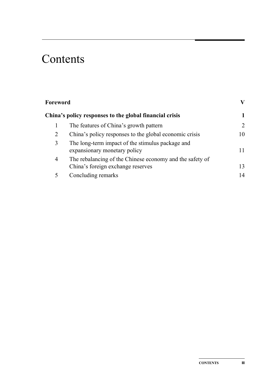# Contents

| Foreword |                                                                                               | V  |
|----------|-----------------------------------------------------------------------------------------------|----|
|          | China's policy responses to the global financial crisis                                       |    |
|          | The features of China's growth pattern                                                        | 2  |
| 2        | China's policy responses to the global economic crisis                                        | 10 |
| 3        | The long-term impact of the stimulus package and<br>expansionary monetary policy              | 11 |
| 4        | The rebalancing of the Chinese economy and the safety of<br>China's foreign exchange reserves | 13 |
|          | Concluding remarks                                                                            | 14 |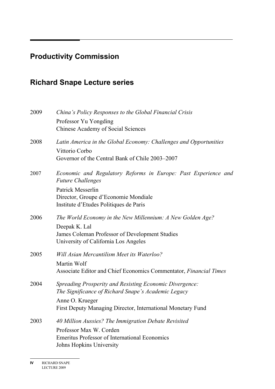# **Productivity Commission**

# **Richard Snape Lecture series**

| 2009 | China's Policy Responses to the Global Financial Crisis                                    |
|------|--------------------------------------------------------------------------------------------|
|      | Professor Yu Yongding                                                                      |
|      | <b>Chinese Academy of Social Sciences</b>                                                  |
| 2008 | Latin America in the Global Economy: Challenges and Opportunities                          |
|      | Vittorio Corbo                                                                             |
|      | Governor of the Central Bank of Chile 2003–2007                                            |
| 2007 | Economic and Regulatory Reforms in Europe: Past Experience and<br><b>Future Challenges</b> |
|      | <b>Patrick Messerlin</b>                                                                   |
|      | Director, Groupe d'Economie Mondiale                                                       |
|      | Institute d'Etudes Politiques de Paris                                                     |
| 2006 | The World Economy in the New Millennium: A New Golden Age?                                 |
|      | Deepak K. Lal                                                                              |
|      | James Coleman Professor of Development Studies                                             |
|      | University of California Los Angeles                                                       |
| 2005 | Will Asian Mercantilism Meet its Waterloo?                                                 |
|      | Martin Wolf                                                                                |
|      | Associate Editor and Chief Economics Commentator, Financial Times                          |
| 2004 | <b>Spreading Prosperity and Resisting Economic Divergence:</b>                             |
|      | The Significance of Richard Snape's Academic Legacy                                        |
|      | Anne O. Krueger                                                                            |
|      | First Deputy Managing Director, International Monetary Fund                                |
| 2003 | 40 Million Aussies? The Immigration Debate Revisited                                       |
|      | Professor Max W. Corden                                                                    |
|      | <b>Emeritus Professor of International Economics</b>                                       |
|      | <b>Johns Hopkins University</b>                                                            |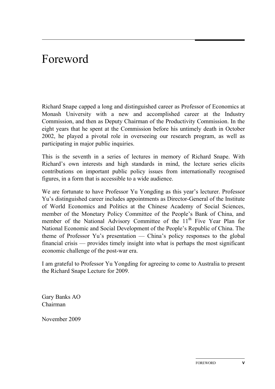# Foreword

Richard Snape capped a long and distinguished career as Professor of Economics at Monash University with a new and accomplished career at the Industry Commission, and then as Deputy Chairman of the Productivity Commission. In the eight years that he spent at the Commission before his untimely death in October 2002, he played a pivotal role in overseeing our research program, as well as participating in major public inquiries.

This is the seventh in a series of lectures in memory of Richard Snape. With Richard's own interests and high standards in mind, the lecture series elicits contributions on important public policy issues from internationally recognised figures, in a form that is accessible to a wide audience.

We are fortunate to have Professor Yu Yongding as this year's lecturer. Professor Yu's distinguished career includes appointments as Director-General of the Institute of World Economics and Politics at the Chinese Academy of Social Sciences, member of the Monetary Policy Committee of the People's Bank of China, and member of the National Advisory Committee of the  $11<sup>th</sup>$  Five Year Plan for National Economic and Social Development of the People's Republic of China. The theme of Professor Yu's presentation — China's policy responses to the global financial crisis — provides timely insight into what is perhaps the most significant economic challenge of the post-war era.

I am grateful to Professor Yu Yongding for agreeing to come to Australia to present the Richard Snape Lecture for 2009.

Gary Banks AO Chairman

November 2009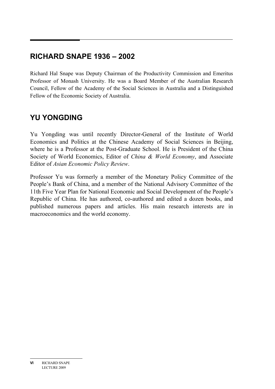## **RICHARD SNAPE 1936 – 2002**

Richard Hal Snape was Deputy Chairman of the Productivity Commission and Emeritus Professor of Monash University. He was a Board Member of the Australian Research Council, Fellow of the Academy of the Social Sciences in Australia and a Distinguished Fellow of the Economic Society of Australia.

## **YU YONGDING**

Yu Yongding was until recently Director-General of the Institute of World Economics and Politics at the Chinese Academy of Social Sciences in Beijing, where he is a Professor at the Post-Graduate School. He is President of the China Society of World Economics, Editor of *China & World Economy*, and Associate Editor of *Asian Economic Policy Review*.

Professor Yu was formerly a member of the Monetary Policy Committee of the People's Bank of China, and a member of the National Advisory Committee of the 11th Five Year Plan for National Economic and Social Development of the People's Republic of China. He has authored, co-authored and edited a dozen books, and published numerous papers and articles. His main research interests are in macroeconomics and the world economy.

**VI** RICHARD SNAPE LECTURE 2009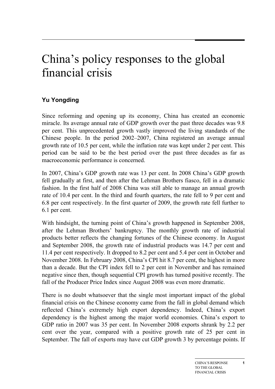# China's policy responses to the global financial crisis

## **Yu Yongding**

Since reforming and opening up its economy, China has created an economic miracle. Its average annual rate of GDP growth over the past three decades was 9.8 per cent. This unprecedented growth vastly improved the living standards of the Chinese people. In the period 2002–2007, China registered an average annual growth rate of 10.5 per cent, while the inflation rate was kept under 2 per cent. This period can be said to be the best period over the past three decades as far as macroeconomic performance is concerned.

In 2007, China's GDP growth rate was 13 per cent. In 2008 China's GDP growth fell gradually at first, and then after the Lehman Brothers fiasco, fell in a dramatic fashion. In the first half of 2008 China was still able to manage an annual growth rate of 10.4 per cent. In the third and fourth quarters, the rate fell to 9 per cent and 6.8 per cent respectively. In the first quarter of 2009, the growth rate fell further to 6.1 per cent.

With hindsight, the turning point of China's growth happened in September 2008, after the Lehman Brothers' bankruptcy. The monthly growth rate of industrial products better reflects the changing fortunes of the Chinese economy. In August and September 2008, the growth rate of industrial products was 14.7 per cent and 11.4 per cent respectively. It dropped to 8.2 per cent and 5.4 per cent in October and November 2008. In February 2008, China's CPI hit 8.7 per cent, the highest in more than a decade. But the CPI index fell to 2 per cent in November and has remained negative since then, though sequential CPI growth has turned positive recently. The fall of the Producer Price Index since August 2008 was even more dramatic.

There is no doubt whatsoever that the single most important impact of the global financial crisis on the Chinese economy came from the fall in global demand which reflected China's extremely high export dependency. Indeed, China's export dependency is the highest among the major world economies. China's export to GDP ratio in 2007 was 35 per cent. In November 2008 exports shrank by 2.2 per cent over the year, compared with a positive growth rate of 25 per cent in September. The fall of exports may have cut GDP growth 3 by percentage points. If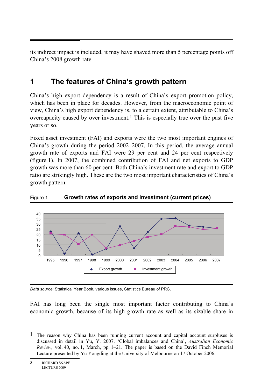its indirect impact is included, it may have shaved more than 5 percentage points off China's 2008 growth rate.

# **1 The features of China's growth pattern**

China's high export dependency is a result of China's export promotion policy, which has been in place for decades. However, from the macroeconomic point of view, China's high export dependency is, to a certain extent, attributable to China's overcapacity caused by over investment.<sup>1</sup> This is especially true over the past five years or so.

Fixed asset investment (FAI) and exports were the two most important engines of China's growth during the period 2002–2007. In this period, the average annual growth rate of exports and FAI were 29 per cent and 24 per cent respectively (figure 1). In 2007, the combined contribution of FAI and net exports to GDP growth was more than 60 per cent. Both China's investment rate and export to GDP ratio are strikingly high. These are the two most important characteristics of China's growth pattern.



### Figure 1 **Growth rates of exports and investment (current prices)**

*Data source*: Statistical Year Book, various issues, Statistics Bureau of PRC.

FAI has long been the single most important factor contributing to China's economic growth, because of its high growth rate as well as its sizable share in

<sup>&</sup>lt;sup>1</sup> The reason why China has been running current account and capital account surpluses is discussed in detail in Yu, Y. 2007, 'Global imbalances and China', *Australian Economic Review*, vol. 40, no. 1, March, pp. 1–21. The paper is based on the David Finch Memorial Lecture presented by Yu Yongding at the University of Melbourne on 17 October 2006.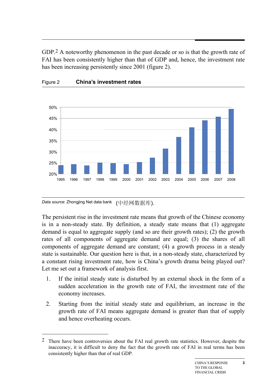GDP.<sup>2</sup> A noteworthy phenomenon in the past decade or so is that the growth rate of FAI has been consistently higher than that of GDP and, hence, the investment rate has been increasing persistently since 2001 (figure 2).





*Data source*: Zhongjing Net data bank (中经网数据库).

-

The persistent rise in the investment rate means that growth of the Chinese economy is in a non-steady state. By definition, a steady state means that (1) aggregate demand is equal to aggregate supply (and so are their growth rates); (2) the growth rates of all components of aggregate demand are equal; (3) the shares of all components of aggregate demand are constant; (4) a growth process in a steady state is sustainable. Our question here is that, in a non-steady state, characterized by a constant rising investment rate, how is China's growth drama being played out? Let me set out a framework of analysis first.

- 1. If the initial steady state is disturbed by an external shock in the form of a sudden acceleration in the growth rate of FAI, the investment rate of the economy increases.
- 2. Starting from the initial steady state and equilibrium, an increase in the growth rate of FAI means aggregate demand is greater than that of supply and hence overheating occurs.

<sup>2</sup> There have been controversies about the FAI real growth rate statistics. However, despite the inaccuracy, it is difficult to deny the fact that the growth rate of FAI in real terms has been consistently higher than that of real GDP.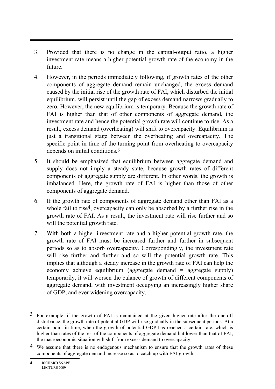- 3. Provided that there is no change in the capital-output ratio, a higher investment rate means a higher potential growth rate of the economy in the future.
- 4. However, in the periods immediately following, if growth rates of the other components of aggregate demand remain unchanged, the excess demand caused by the initial rise of the growth rate of FAI, which disturbed the initial equilibrium, will persist until the gap of excess demand narrows gradually to zero. However, the new equilibrium is temporary. Because the growth rate of FAI is higher than that of other components of aggregate demand, the investment rate and hence the potential growth rate will continue to rise. As a result, excess demand (overheating) will shift to overcapacity. Equilibrium is just a transitional stage between the overheating and overcapacity. The specific point in time of the turning point from overheating to overcapacity depends on initial conditions.3
- 5. It should be emphasized that equilibrium between aggregate demand and supply does not imply a steady state, because growth rates of different components of aggregate supply are different. In other words, the growth is imbalanced. Here, the growth rate of FAI is higher than those of other components of aggregate demand.
- 6. If the growth rate of components of aggregate demand other than FAI as a whole fail to rise<sup>4</sup>, overcapacity can only be absorbed by a further rise in the growth rate of FAI. As a result, the investment rate will rise further and so will the potential growth rate.
- 7. With both a higher investment rate and a higher potential growth rate, the growth rate of FAI must be increased further and further in subsequent periods so as to absorb overcapacity. Correspondingly, the investment rate will rise further and further and so will the potential growth rate. This implies that although a steady increase in the growth rate of FAI can help the economy achieve equilibrium (aggregate demand = aggregate supply) temporarily, it will worsen the balance of growth of different components of aggregate demand, with investment occupying an increasingly higher share of GDP, and ever widening overcapacity.

 $3$  For example, if the growth of FAI is maintained at the given higher rate after the one-off disturbance, the growth rate of potential GDP will rise gradually in the subsequent periods. At a certain point in time, when the growth of potential GDP has reached a certain rate, which is higher than rates of the rest of the components of aggregate demand but lower than that of FAI, the macroeconomic situation will shift from excess demand to overcapacity.

<sup>&</sup>lt;sup>4</sup> We assume that there is no endogenous mechanism to ensure that the growth rates of these components of aggregate demand increase so as to catch up with FAI growth.

**<sup>4</sup>** RICHARD SNAPE LECTURE 2009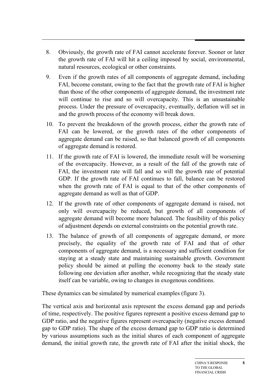- 8. Obviously, the growth rate of FAI cannot accelerate forever. Sooner or later the growth rate of FAI will hit a ceiling imposed by social, environmental, natural resources, ecological or other constraints.
- 9. Even if the growth rates of all components of aggregate demand, including FAI, become constant, owing to the fact that the growth rate of FAI is higher than those of the other components of aggregate demand, the investment rate will continue to rise and so will overcapacity. This is an unsustainable process. Under the pressure of overcapacity, eventually, deflation will set in and the growth process of the economy will break down.
- 10. To prevent the breakdown of the growth process, either the growth rate of FAI can be lowered, or the growth rates of the other components of aggregate demand can be raised, so that balanced growth of all components of aggregate demand is restored.
- 11. If the growth rate of FAI is lowered, the immediate result will be worsening of the overcapacity. However, as a result of the fall of the growth rate of FAI, the investment rate will fall and so will the growth rate of potential GDP. If the growth rate of FAI continues to fall, balance can be restored when the growth rate of FAI is equal to that of the other components of aggregate demand as well as that of GDP.
- 12. If the growth rate of other components of aggregate demand is raised, not only will overcapacity be reduced, but growth of all components of aggregate demand will become more balanced. The feasibility of this policy of adjustment depends on external constraints on the potential growth rate.
- 13. The balance of growth of all components of aggregate demand, or more precisely, the equality of the growth rate of FAI and that of other components of aggregate demand, is a necessary and sufficient condition for staying at a steady state and maintaining sustainable growth. Government policy should be aimed at pulling the economy back to the steady state following one deviation after another, while recognizing that the steady state itself can be variable, owing to changes in exogenous conditions.

These dynamics can be simulated by numerical examples (figure 3).

The vertical axis and horizontal axis represent the excess demand gap and periods of time, respectively. The positive figures represent a positive excess demand gap to GDP ratio, and the negative figures represent overcapacity (negative excess demand gap to GDP ratio). The shape of the excess demand gap to GDP ratio is determined by various assumptions such as the initial shares of each component of aggregate demand, the initial growth rate, the growth rate of FAI after the initial shock, the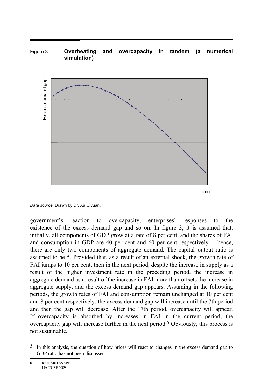### Figure 3 **Overheating and overcapacity in tandem (a numerical simulation)**



*Data source*: Drawn by Dr. Xu Qiyuan.

government's reaction to overcapacity, enterprises' responses to the existence of the excess demand gap and so on. In figure 3, it is assumed that, initially, all components of GDP grow at a rate of 8 per cent, and the shares of FAI and consumption in GDP are 40 per cent and 60 per cent respectively — hence, there are only two components of aggregate demand. The capital–output ratio is assumed to be 5. Provided that, as a result of an external shock, the growth rate of FAI jumps to 10 per cent, then in the next period, despite the increase in supply as a result of the higher investment rate in the preceding period, the increase in aggregate demand as a result of the increase in FAI more than offsets the increase in aggregate supply, and the excess demand gap appears. Assuming in the following periods, the growth rates of FAI and consumption remain unchanged at 10 per cent and 8 per cent respectively, the excess demand gap will increase until the 7th period and then the gap will decrease. After the 17th period, overcapacity will appear. If overcapacity is absorbed by increases in FAI in the current period, the overcapacity gap will increase further in the next period.5 Obviously, this process is not sustainable.

<sup>5</sup> In this analysis, the question of how prices will react to changes in the excess demand gap to GDP ratio has not been discussed.

**<sup>6</sup>** RICHARD SNAPE LECTURE 2009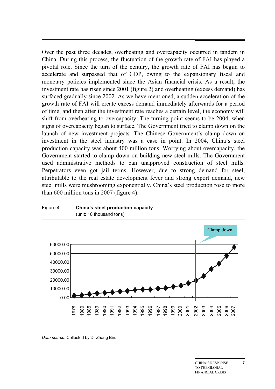Over the past three decades, overheating and overcapacity occurred in tandem in China. During this process, the fluctuation of the growth rate of FAI has played a pivotal role. Since the turn of the century, the growth rate of FAI has begun to accelerate and surpassed that of GDP, owing to the expansionary fiscal and monetary policies implemented since the Asian financial crisis. As a result, the investment rate has risen since 2001 (figure 2) and overheating (excess demand) has surfaced gradually since 2002. As we have mentioned, a sudden acceleration of the growth rate of FAI will create excess demand immediately afterwards for a period of time, and then after the investment rate reaches a certain level, the economy will shift from overheating to overcapacity. The turning point seems to be 2004, when signs of overcapacity began to surface. The Government tried to clamp down on the launch of new investment projects. The Chinese Government's clamp down on investment in the steel industry was a case in point. In 2004, China's steel production capacity was about 400 million tons. Worrying about overcapacity, the Government started to clamp down on building new steel mills. The Government used administrative methods to ban unapproved construction of steel mills. Perpetrators even got jail terms. However, due to strong demand for steel, attributable to the real estate development fever and strong export demand, new steel mills were mushrooming exponentially. China's steel production rose to more than 600 million tons in 2007 (figure 4).





*Data source*: Collected by Dr Zhang Bin.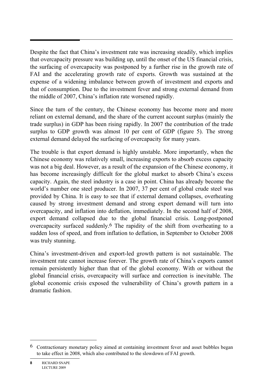Despite the fact that China's investment rate was increasing steadily, which implies that overcapacity pressure was building up, until the onset of the US financial crisis, the surfacing of overcapacity was postponed by a further rise in the growth rate of FAI and the accelerating growth rate of exports. Growth was sustained at the expense of a widening imbalance between growth of investment and exports and that of consumption. Due to the investment fever and strong external demand from the middle of 2007, China's inflation rate worsened rapidly.

Since the turn of the century, the Chinese economy has become more and more reliant on external demand, and the share of the current account surplus (mainly the trade surplus) in GDP has been rising rapidly. In 2007 the contribution of the trade surplus to GDP growth was almost 10 per cent of GDP (figure 5). The strong external demand delayed the surfacing of overcapacity for many years.

The trouble is that export demand is highly unstable. More importantly, when the Chinese economy was relatively small, increasing exports to absorb excess capacity was not a big deal. However, as a result of the expansion of the Chinese economy, it has become increasingly difficult for the global market to absorb China's excess capacity. Again, the steel industry is a case in point. China has already become the world's number one steel producer. In 2007, 37 per cent of global crude steel was provided by China. It is easy to see that if external demand collapses, overheating caused by strong investment demand and strong export demand will turn into overcapacity, and inflation into deflation, immediately. In the second half of 2008, export demand collapsed due to the global financial crisis. Long-postponed overcapacity surfaced suddenly.6 The rapidity of the shift from overheating to a sudden loss of speed, and from inflation to deflation, in September to October 2008 was truly stunning.

China's investment-driven and export-led growth pattern is not sustainable. The investment rate cannot increase forever. The growth rate of China's exports cannot remain persistently higher than that of the global economy. With or without the global financial crisis, overcapacity will surface and correction is inevitable. The global economic crisis exposed the vulnerability of China's growth pattern in a dramatic fashion.

<sup>6</sup> Contractionary monetary policy aimed at containing investment fever and asset bubbles began to take effect in 2008, which also contributed to the slowdown of FAI growth.

**<sup>8</sup>** RICHARD SNAPE LECTURE 2009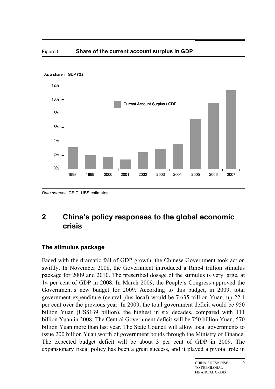



## **2 China's policy responses to the global economic crisis**

## **The stimulus package**

Faced with the dramatic fall of GDP growth, the Chinese Government took action swiftly. In November 2008, the Government introduced a Rmb4 trillion stimulus package for 2009 and 2010. The prescribed dosage of the stimulus is very large, at 14 per cent of GDP in 2008. In March 2009, the People's Congress approved the Government's new budget for 2009. According to this budget, in 2009, total government expenditure (central plus local) would be 7.635 trillion Yuan, up 22.1 per cent over the previous year. In 2009, the total government deficit would be 950 billion Yuan (US\$139 billion), the highest in six decades, compared with 111 billion Yuan in 2008. The Central Government deficit will be 750 billion Yuan, 570 billion Yuan more than last year. The State Council will allow local governments to issue 200 billion Yuan worth of government bonds through the Ministry of Finance. The expected budget deficit will be about 3 per cent of GDP in 2009. The expansionary fiscal policy has been a great success, and it played a pivotal role in

*Data sources*: CEIC, UBS estimates.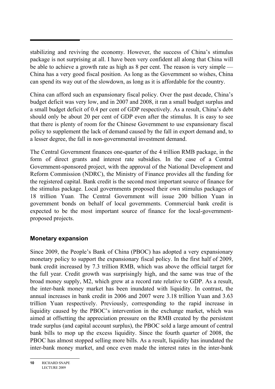stabilizing and reviving the economy. However, the success of China's stimulus package is not surprising at all. I have been very confident all along that China will be able to achieve a growth rate as high as 8 per cent. The reason is very simple — China has a very good fiscal position. As long as the Government so wishes, China can spend its way out of the slowdown, as long as it is affordable for the country.

China can afford such an expansionary fiscal policy. Over the past decade, China's budget deficit was very low, and in 2007 and 2008, it ran a small budget surplus and a small budget deficit of 0.4 per cent of GDP respectively. As a result, China's debt should only be about 20 per cent of GDP even after the stimulus. It is easy to see that there is plenty of room for the Chinese Government to use expansionary fiscal policy to supplement the lack of demand caused by the fall in export demand and, to a lesser degree, the fall in non-governmental investment demand.

The Central Government finances one-quarter of the 4 trillion RMB package, in the form of direct grants and interest rate subsidies. In the case of a Central Government-sponsored project, with the approval of the National Development and Reform Commission (NDRC), the Ministry of Finance provides all the funding for the registered capital. Bank credit is the second most important source of finance for the stimulus package. Local governments proposed their own stimulus packages of 18 trillion Yuan. The Central Government will issue 200 billion Yuan in government bonds on behalf of local governments. Commercial bank credit is expected to be the most important source of finance for the local-governmentproposed projects.

## **Monetary expansion**

Since 2009, the People's Bank of China (PBOC) has adopted a very expansionary monetary policy to support the expansionary fiscal policy. In the first half of 2009, bank credit increased by 7.3 trillion RMB, which was above the official target for the full year. Credit growth was surprisingly high, and the same was true of the broad money supply, M2, which grew at a record rate relative to GDP. As a result, the inter-bank money market has been inundated with liquidity. In contrast, the annual increases in bank credit in 2006 and 2007 were 3.18 trillion Yuan and 3.63 trillion Yuan respectively. Previously, corresponding to the rapid increase in liquidity caused by the PBOC's intervention in the exchange market, which was aimed at offsetting the appreciation pressure on the RMB created by the persistent trade surplus (and capital account surplus), the PBOC sold a large amount of central bank bills to mop up the excess liquidity. Since the fourth quarter of 2008, the PBOC has almost stopped selling more bills. As a result, liquidity has inundated the inter-bank money market, and once even made the interest rates in the inter-bank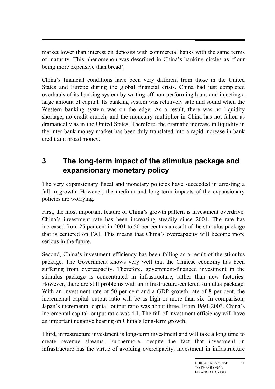market lower than interest on deposits with commercial banks with the same terms of maturity. This phenomenon was described in China's banking circles as 'flour being more expensive than bread'.

China's financial conditions have been very different from those in the United States and Europe during the global financial crisis. China had just completed overhauls of its banking system by writing off non-performing loans and injecting a large amount of capital. Its banking system was relatively safe and sound when the Western banking system was on the edge. As a result, there was no liquidity shortage, no credit crunch, and the monetary multiplier in China has not fallen as dramatically as in the United States. Therefore, the dramatic increase in liquidity in the inter-bank money market has been duly translated into a rapid increase in bank credit and broad money.

## **3 The long-term impact of the stimulus package and expansionary monetary policy**

The very expansionary fiscal and monetary policies have succeeded in arresting a fall in growth. However, the medium and long-term impacts of the expansionary policies are worrying.

First, the most important feature of China's growth pattern is investment overdrive. China's investment rate has been increasing steadily since 2001. The rate has increased from 25 per cent in 2001 to 50 per cent as a result of the stimulus package that is centered on FAI. This means that China's overcapacity will become more serious in the future.

Second, China's investment efficiency has been falling as a result of the stimulus package. The Government knows very well that the Chinese economy has been suffering from overcapacity. Therefore, government-financed investment in the stimulus package is concentrated in infrastructure, rather than new factories. However, there are still problems with an infrastructure-centered stimulus package. With an investment rate of 50 per cent and a GDP growth rate of 8 per cent, the incremental capital–output ratio will be as high or more than six. In comparison, Japan's incremental capital–output ratio was about three. From 1991-2003, China's incremental capital–output ratio was 4.1. The fall of investment efficiency will have an important negative bearing on China's long-term growth.

Third, infrastructure investment is long-term investment and will take a long time to create revenue streams. Furthermore, despite the fact that investment in infrastructure has the virtue of avoiding overcapacity, investment in infrastructure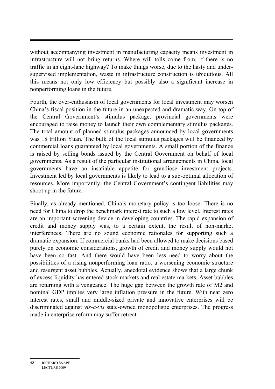without accompanying investment in manufacturing capacity means investment in infrastructure will not bring returns. Where will tolls come from, if there is no traffic in an eight-lane highway? To make things worse, due to the hasty and undersupervised implementation, waste in infrastructure construction is ubiquitous. All this means not only low efficiency but possibly also a significant increase in nonperforming loans in the future.

Fourth, the over-enthusiasm of local governments for local investment may worsen China's fiscal position in the future in an unexpected and dramatic way. On top of the Central Government's stimulus package, provincial governments were encouraged to raise money to launch their own complementary stimulus packages. The total amount of planned stimulus packages announced by local governments was 18 trillion Yuan. The bulk of the local stimulus packages will be financed by commercial loans guaranteed by local governments. A small portion of the finance is raised by selling bonds issued by the Central Government on behalf of local governments. As a result of the particular institutional arrangements in China, local governments have an insatiable appetite for grandiose investment projects. Investment led by local governments is likely to lead to a sub-optimal allocation of resources. More importantly, the Central Government's contingent liabilities may shoot up in the future.

Finally, as already mentioned, China's monetary policy is too loose. There is no need for China to drop the benchmark interest rate to such a low level. Interest rates are an important screening device in developing countries. The rapid expansion of credit and money supply was, to a certain extent, the result of non-market interferences. There are no sound economic rationales for supporting such a dramatic expansion. If commercial banks had been allowed to make decisions based purely on economic considerations, growth of credit and money supply would not have been so fast. And there would have been less need to worry about the possibilities of a rising nonperforming loan ratio, a worsening economic structure and resurgent asset bubbles. Actually, anecdotal evidence shows that a large chunk of excess liquidity has entered stock markets and real estate markets. Asset bubbles are returning with a vengeance. The huge gap between the growth rate of M2 and nominal GDP implies very large inflation pressure in the future. With near zero interest rates, small and middle-sized private and innovative enterprises will be discriminated against *vis-à-vis* state-owned monopolistic enterprises. The progress made in enterprise reform may suffer retreat.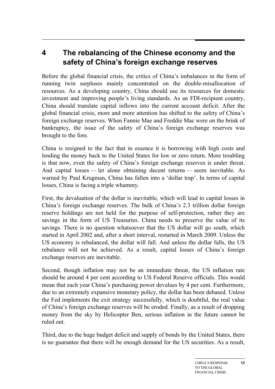## **4 The rebalancing of the Chinese economy and the safety of China's foreign exchange reserves**

Before the global financial crisis, the critics of China's imbalances in the form of running twin surpluses mainly concentrated on the double-misallocation of resources. As a developing country, China should use its resources for domestic investment and improving people's living standards. As an FDI-recipient country, China should translate capital inflows into the current account deficit. After the global financial crisis, more and more attention has shifted to the safety of China's foreign exchange reserves. When Fannie Mae and Freddie Mac were on the brink of bankruptcy, the issue of the safety of China's foreign exchange reserves was brought to the fore.

China is resigned to the fact that in essence it is borrowing with high costs and lending the money back to the United States for low or zero return. More troubling is that now, even the safety of China's foreign exchange reserves is under threat. And capital losses — let alone obtaining decent returns — seem inevitable. As warned by Paul Krugman, China has fallen into a 'dollar trap'. In terms of capital losses, China is facing a triple whammy.

First, the devaluation of the dollar is inevitable, which will lead to capital losses in China's foreign exchange reserves. The bulk of China's 2.3 trillion dollar foreign reserve holdings are not held for the purpose of self-protection, rather they are savings in the form of US Treasuries. China needs to preserve the value of its savings. There is no question whatsoever that the US dollar will go south, which started in April 2002 and, after a short interval, restarted in March 2009. Unless the US economy is rebalanced, the dollar will fall. And unless the dollar falls, the US rebalance will not be achieved. As a result, capital losses of China's foreign exchange reserves are inevitable.

Second, though inflation may not be an immediate threat, the US inflation rate should be around 4 per cent according to US Federal Reserve officials. This would mean that each year China's purchasing power devalues by 4 per cent. Furthermore, due to an extremely expansive monetary policy, the dollar has been debased. Unless the Fed implements the exit strategy successfully, which is doubtful, the real value of China's foreign exchange reserves will be eroded. Finally, as a result of dropping money from the sky by Helicopter Ben, serious inflation in the future cannot be ruled out.

Third, due to the huge budget deficit and supply of bonds by the United States, there is no guarantee that there will be enough demand for the US securities. As a result,